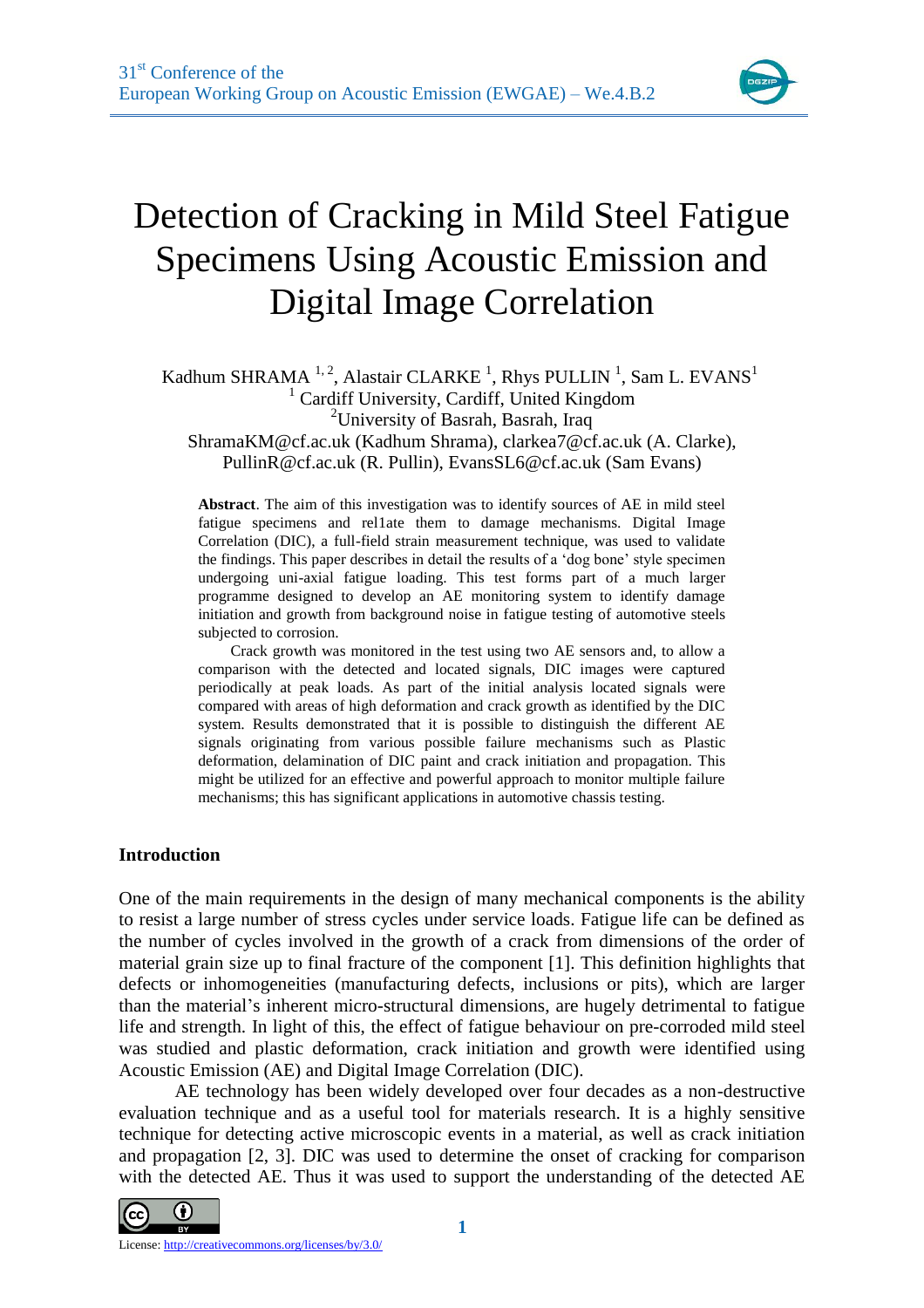

# Detection of Cracking in Mild Steel Fatigue Specimens Using Acoustic Emission and Digital Image Correlation

Kadhum SHRAMA<sup>1, 2</sup>, Alastair CLARKE<sup>1</sup>, Rhys PULLIN<sup>1</sup>, Sam L. EVANS<sup>1</sup> <sup>1</sup> Cardiff University, Cardiff, United Kingdom <sup>2</sup>University of Basrah, Basrah, Iraq

ShramaKM@cf.ac.uk (Kadhum Shrama), clarkea7@cf.ac.uk (A. Clarke), PullinR@cf.ac.uk (R. Pullin), EvansSL6@cf.ac.uk (Sam Evans)

**Abstract**. The aim of this investigation was to identify sources of AE in mild steel fatigue specimens and rel1ate them to damage mechanisms. Digital Image Correlation (DIC), a full-field strain measurement technique, was used to validate the findings. This paper describes in detail the results of a 'dog bone' style specimen undergoing uni-axial fatigue loading. This test forms part of a much larger programme designed to develop an AE monitoring system to identify damage initiation and growth from background noise in fatigue testing of automotive steels subjected to corrosion.

Crack growth was monitored in the test using two AE sensors and, to allow a comparison with the detected and located signals, DIC images were captured periodically at peak loads. As part of the initial analysis located signals were compared with areas of high deformation and crack growth as identified by the DIC system. Results demonstrated that it is possible to distinguish the different AE signals originating from various possible failure mechanisms such as Plastic deformation, delamination of DIC paint and crack initiation and propagation. This might be utilized for an effective and powerful approach to monitor multiple failure mechanisms; this has significant applications in automotive chassis testing.

### **Introduction**

One of the main requirements in the design of many mechanical components is the ability to resist a large number of stress cycles under service loads. Fatigue life can be defined as the number of cycles involved in the growth of a crack from dimensions of the order of material grain size up to final fracture of the component [\[1\]](#page-6-0). This definition highlights that defects or inhomogeneities (manufacturing defects, inclusions or pits), which are larger than the material's inherent micro-structural dimensions, are hugely detrimental to fatigue life and strength. In light of this, the effect of fatigue behaviour on pre-corroded mild steel was studied and plastic deformation, crack initiation and growth were identified using Acoustic Emission (AE) and Digital Image Correlation (DIC).

AE technology has been widely developed over four decades as a non-destructive evaluation technique and as a useful tool for materials research. It is a highly sensitive technique for detecting active microscopic events in a material, as well as crack initiation and propagation [\[2,](#page-6-1) [3\]](#page-6-2). DIC was used to determine the onset of cracking for comparison with the detected AE. Thus it was used to support the understanding of the detected AE

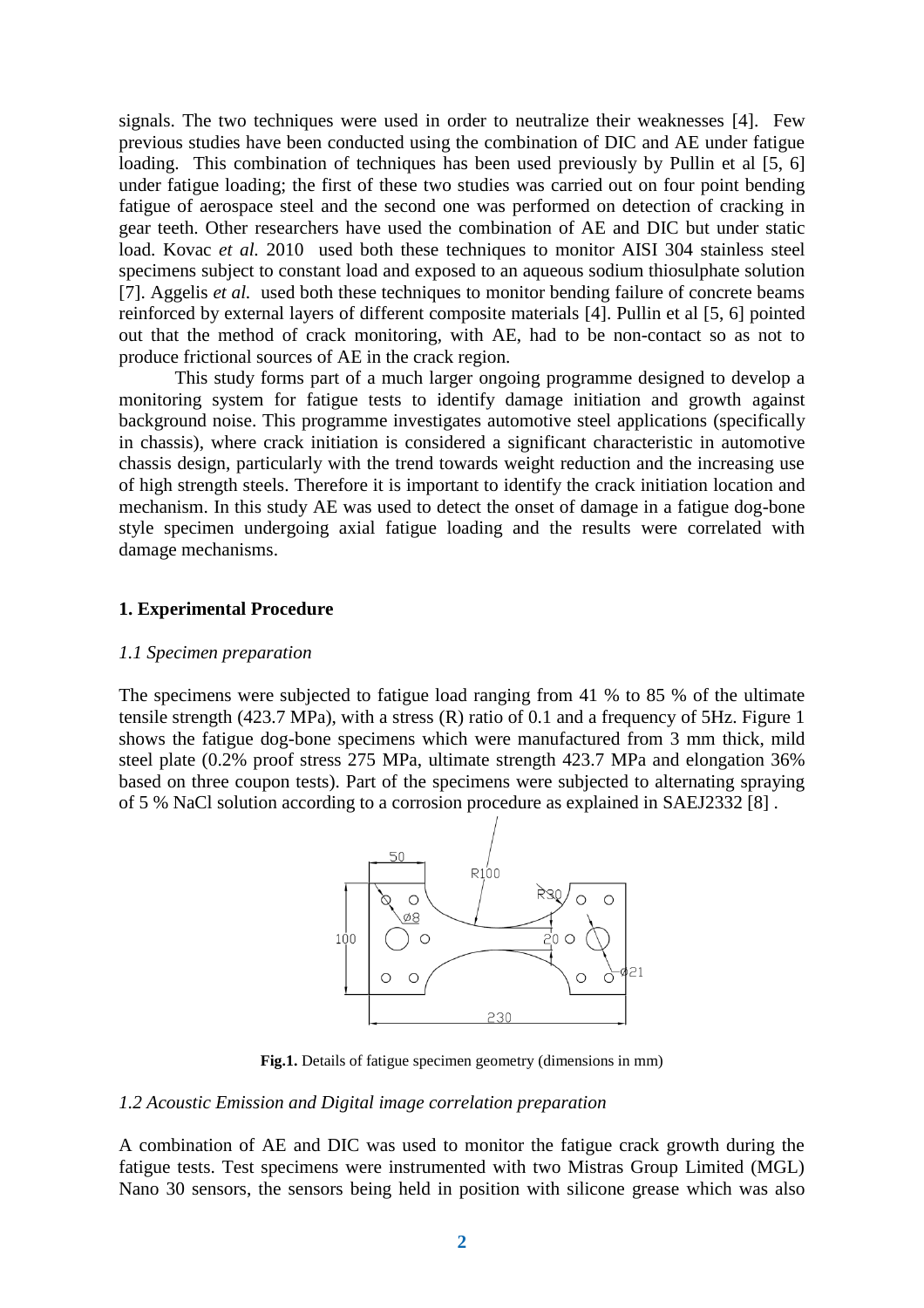signals. The two techniques were used in order to neutralize their weaknesses [\[4\]](#page-6-3). Few previous studies have been conducted using the combination of DIC and AE under fatigue loading. This combination of techniques has been used previously by Pullin et al [\[5,](#page-6-4) [6\]](#page-6-5) under fatigue loading; the first of these two studies was carried out on four point bending fatigue of aerospace steel and the second one was performed on detection of cracking in gear teeth. Other researchers have used the combination of AE and DIC but under static load. Kovac *et al.* 2010 used both these techniques to monitor AISI 304 stainless steel specimens subject to constant load and exposed to an aqueous sodium thiosulphate solution [\[7\]](#page-7-0). Aggelis *et al.* used both these techniques to monitor bending failure of concrete beams reinforced by external layers of different composite materials [\[4\]](#page-6-3). Pullin et al [\[5,](#page-6-4) [6\]](#page-6-5) pointed out that the method of crack monitoring, with AE, had to be non-contact so as not to produce frictional sources of AE in the crack region.

This study forms part of a much larger ongoing programme designed to develop a monitoring system for fatigue tests to identify damage initiation and growth against background noise. This programme investigates automotive steel applications (specifically in chassis), where crack initiation is considered a significant characteristic in automotive chassis design, particularly with the trend towards weight reduction and the increasing use of high strength steels. Therefore it is important to identify the crack initiation location and mechanism. In this study AE was used to detect the onset of damage in a fatigue dog-bone style specimen undergoing axial fatigue loading and the results were correlated with damage mechanisms.

### **1. Experimental Procedure**

## *1.1 Specimen preparation*

The specimens were subjected to fatigue load ranging from 41 % to 85 % of the ultimate tensile strength (423.7 MPa), with a stress (R) ratio of 0.1 and a frequency of 5Hz. Figure 1 shows the fatigue dog-bone specimens which were manufactured from 3 mm thick, mild steel plate (0.2% proof stress 275 MPa, ultimate strength 423.7 MPa and elongation 36% based on three coupon tests). Part of the specimens were subjected to alternating spraying of 5 % NaCl solution according to a corrosion procedure as explained in SAEJ2332 [\[8\]](#page-7-1) .



**Fig.1.** Details of fatigue specimen geometry (dimensions in mm)

### *1.2 Acoustic Emission and Digital image correlation preparation*

A combination of AE and DIC was used to monitor the fatigue crack growth during the fatigue tests. Test specimens were instrumented with two Mistras Group Limited (MGL) Nano 30 sensors, the sensors being held in position with silicone grease which was also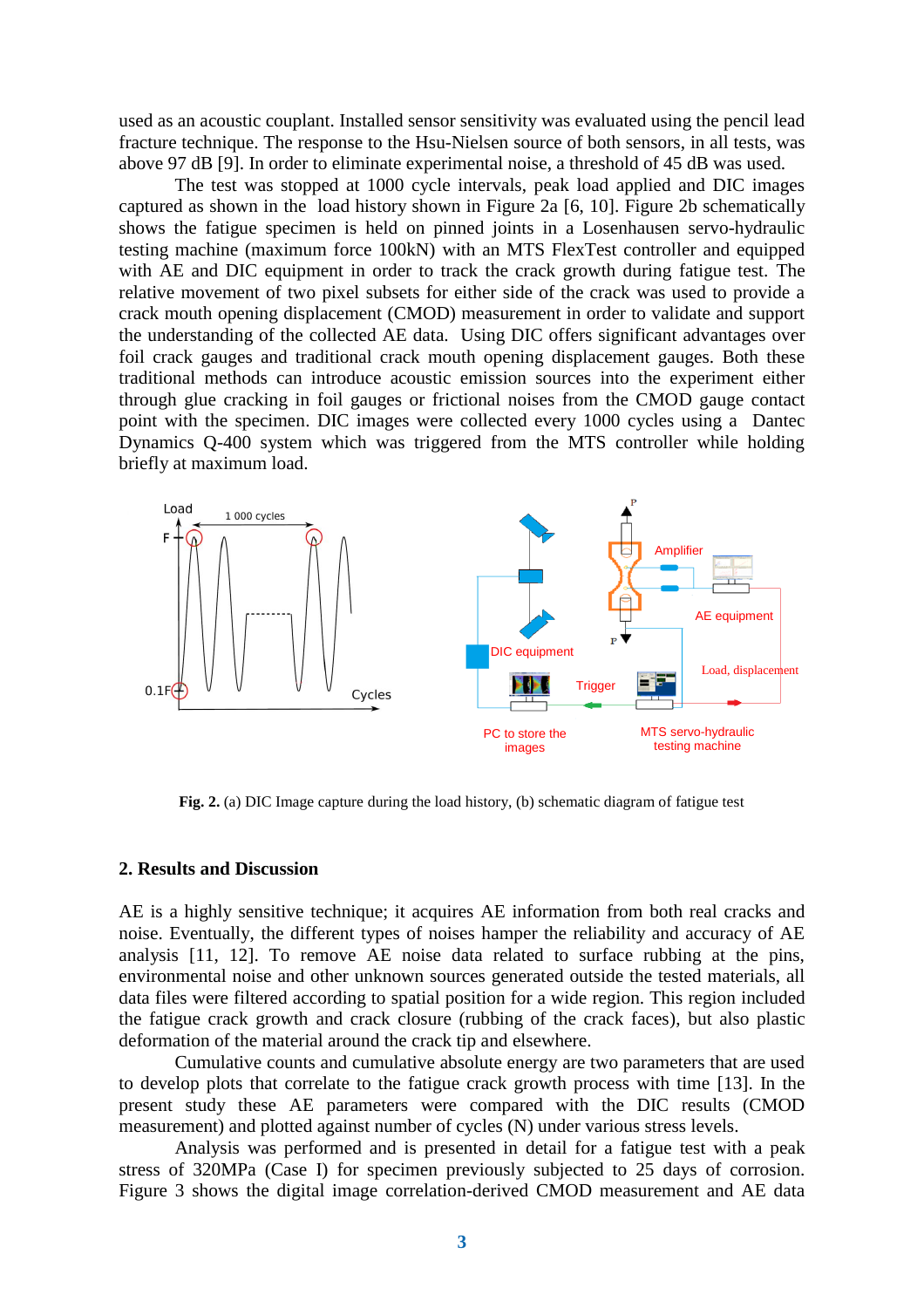used as an acoustic couplant. Installed sensor sensitivity was evaluated using the pencil lead fracture technique. The response to the Hsu-Nielsen source of both sensors, in all tests, was above 97 dB [\[9\]](#page-7-2). In order to eliminate experimental noise, a threshold of 45 dB was used.

The test was stopped at 1000 cycle intervals, peak load applied and DIC images captured as shown in the load history shown in Figure 2a [\[6,](#page-6-5) [10\]](#page-7-3). Figure 2b schematically shows the fatigue specimen is held on pinned joints in a Losenhausen servo-hydraulic testing machine (maximum force 100kN) with an MTS FlexTest controller and equipped with AE and DIC equipment in order to track the crack growth during fatigue test. The relative movement of two pixel subsets for either side of the crack was used to provide a crack mouth opening displacement (CMOD) measurement in order to validate and support the understanding of the collected AE data. Using DIC offers significant advantages over foil crack gauges and traditional crack mouth opening displacement gauges. Both these traditional methods can introduce acoustic emission sources into the experiment either through glue cracking in foil gauges or frictional noises from the CMOD gauge contact point with the specimen. DIC images were collected every 1000 cycles using a Dantec Dynamics Q-400 system which was triggered from the MTS controller while holding briefly at maximum load.



**Fig. 2.** (a) DIC Image capture during the load history, (b) schematic diagram of fatigue test

#### **2. Results and Discussion**

AE is a highly sensitive technique; it acquires AE information from both real cracks and noise. Eventually, the different types of noises hamper the reliability and accuracy of AE analysis [\[11,](#page-7-4) [12\]](#page-7-5). To remove AE noise data related to surface rubbing at the pins, environmental noise and other unknown sources generated outside the tested materials, all data files were filtered according to spatial position for a wide region. This region included the fatigue crack growth and crack closure (rubbing of the crack faces), but also plastic deformation of the material around the crack tip and elsewhere.

Cumulative counts and cumulative absolute energy are two parameters that are used to develop plots that correlate to the fatigue crack growth process with time [\[13\]](#page-7-6). In the present study these AE parameters were compared with the DIC results (CMOD measurement) and plotted against number of cycles (N) under various stress levels.

Analysis was performed and is presented in detail for a fatigue test with a peak stress of 320MPa (Case I) for specimen previously subjected to 25 days of corrosion. Figure 3 shows the digital image correlation-derived CMOD measurement and AE data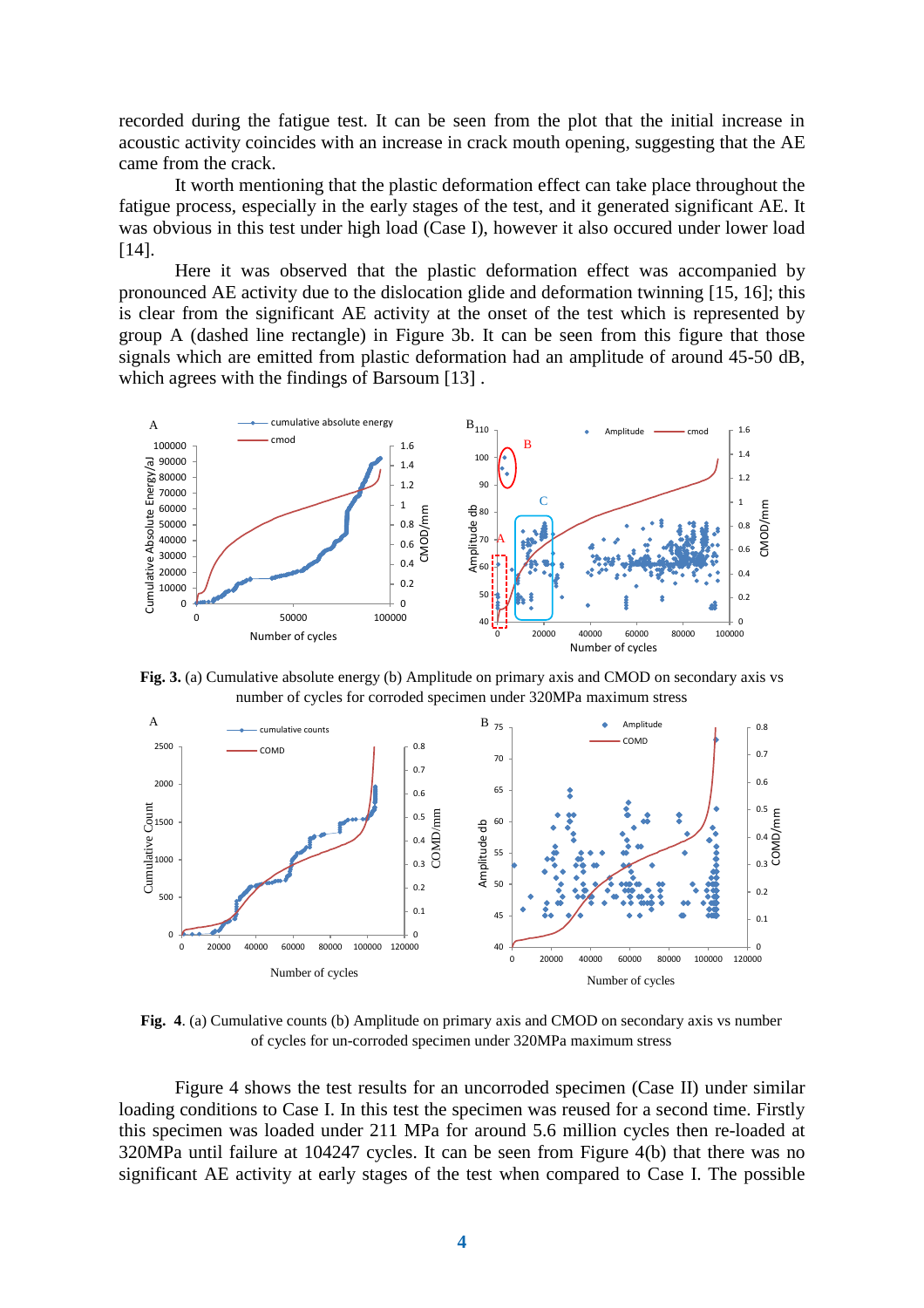recorded during the fatigue test. It can be seen from the plot that the initial increase in acoustic activity coincides with an increase in crack mouth opening, suggesting that the AE came from the crack.

It worth mentioning that the plastic deformation effect can take place throughout the fatigue process, especially in the early stages of the test, and it generated significant AE. It was obvious in this test under high load (Case I), however it also occured under lower load [\[14\]](#page-7-7).

Here it was observed that the plastic deformation effect was accompanied by pronounced AE activity due to the dislocation glide and deformation twinning [\[15,](#page-7-8) [16\]](#page-7-9); this is clear from the significant AE activity at the onset of the test which is represented by group A (dashed line rectangle) in Figure 3b. It can be seen from this figure that those signals which are emitted from plastic deformation had an amplitude of around 45-50 dB, which agrees with the findings of Barsoum [\[13\]](#page-7-6) .



**Fig. 3.** (a) Cumulative absolute energy (b) Amplitude on primary axis and CMOD on secondary axis vs number of cycles for corroded specimen under 320MPa maximum stress



**Fig. 4**. (a) Cumulative counts (b) Amplitude on primary axis and CMOD on secondary axis vs number of cycles for un-corroded specimen under 320MPa maximum stress

Figure 4 shows the test results for an uncorroded specimen (Case II) under similar loading conditions to Case I. In this test the specimen was reused for a second time. Firstly this specimen was loaded under 211 MPa for around 5.6 million cycles then re-loaded at 320MPa until failure at 104247 cycles. It can be seen from Figure 4(b) that there was no significant AE activity at early stages of the test when compared to Case I. The possible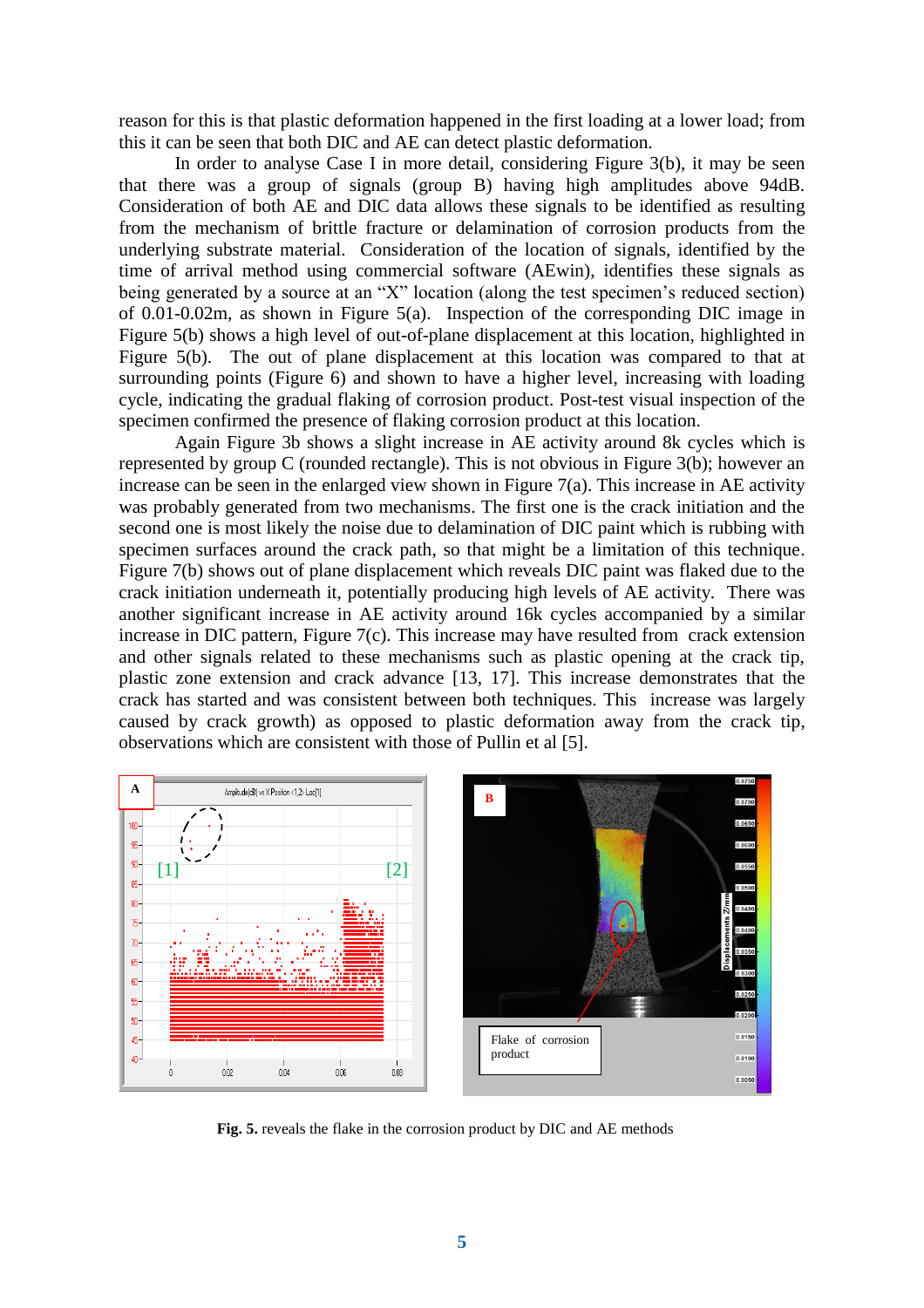reason for this is that plastic deformation happened in the first loading at a lower load; from this it can be seen that both DIC and AE can detect plastic deformation.

In order to analyse Case I in more detail, considering Figure 3(b), it may be seen that there was a group of signals (group B) having high amplitudes above 94dB. Consideration of both AE and DIC data allows these signals to be identified as resulting from the mechanism of brittle fracture or delamination of corrosion products from the underlying substrate material. Consideration of the location of signals, identified by the time of arrival method using commercial software (AEwin), identifies these signals as being generated by a source at an "X" location (along the test specimen's reduced section) of 0.01-0.02m, as shown in Figure 5(a). Inspection of the corresponding DIC image in Figure 5(b) shows a high level of out-of-plane displacement at this location, highlighted in Figure 5(b). The out of plane displacement at this location was compared to that at surrounding points (Figure 6) and shown to have a higher level, increasing with loading cycle, indicating the gradual flaking of corrosion product. Post-test visual inspection of the specimen confirmed the presence of flaking corrosion product at this location.

Again Figure 3b shows a slight increase in AE activity around 8k cycles which is represented by group C (rounded rectangle). This is not obvious in Figure 3(b); however an increase can be seen in the enlarged view shown in Figure 7(a). This increase in AE activity was probably generated from two mechanisms. The first one is the crack initiation and the second one is most likely the noise due to delamination of DIC paint which is rubbing with specimen surfaces around the crack path, so that might be a limitation of this technique. Figure 7(b) shows out of plane displacement which reveals DIC paint was flaked due to the crack initiation underneath it, potentially producing high levels of AE activity. There was another significant increase in AE activity around 16k cycles accompanied by a similar increase in DIC pattern, Figure 7(c). This increase may have resulted from crack extension and other signals related to these mechanisms such as plastic opening at the crack tip, plastic zone extension and crack advance [\[13,](#page-7-6) [17\]](#page-7-10). This increase demonstrates that the crack has started and was consistent between both techniques. This increase was largely caused by crack growth) as opposed to plastic deformation away from the crack tip, observations which are consistent with those of Pullin et al [\[5\]](#page-6-4).



**Fig. 5.** reveals the flake in the corrosion product by DIC and AE methods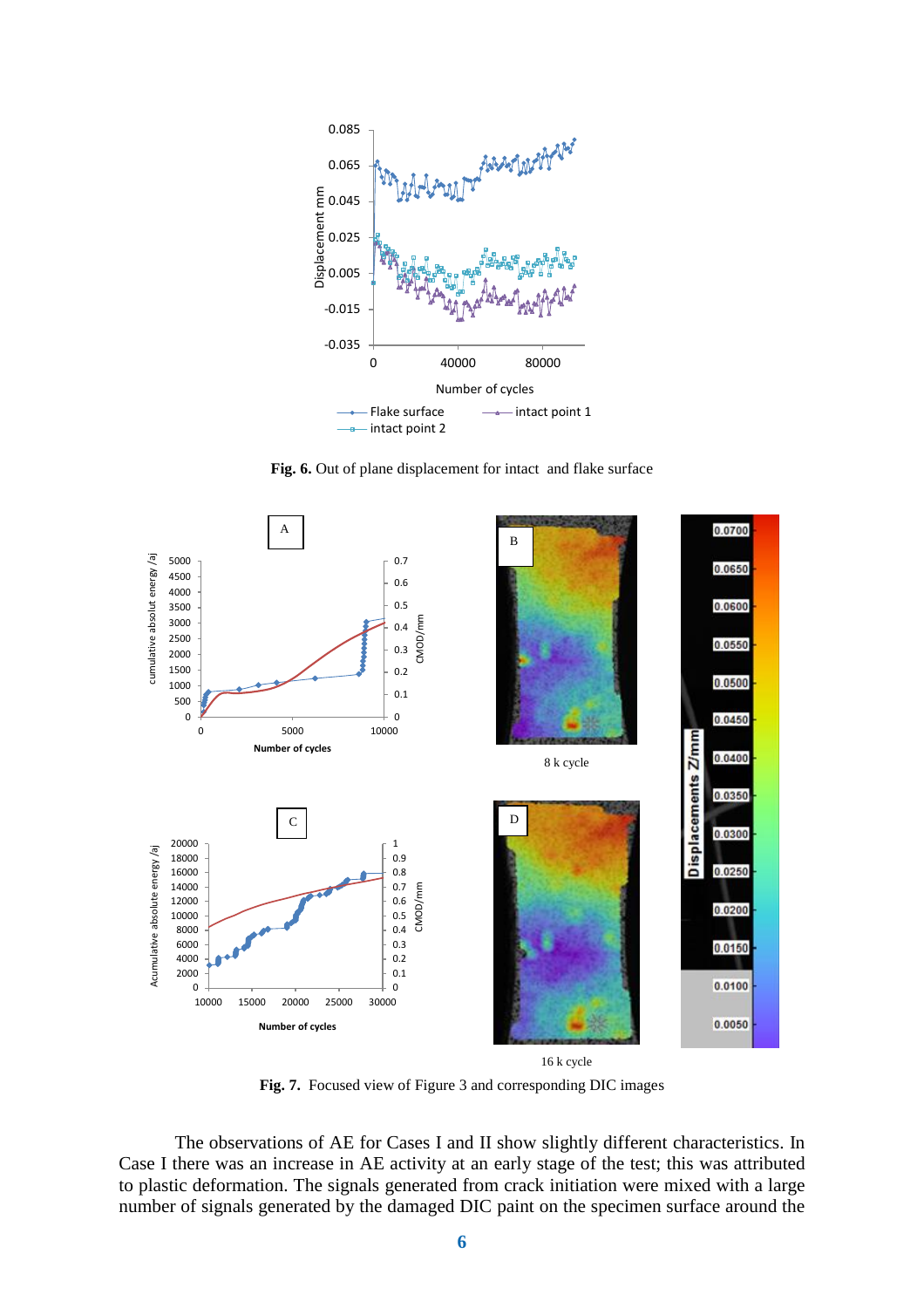

**Fig. 6.** Out of plane displacement for intact and flake surface



**Fig. 7.** Focused view of Figure 3 and corresponding DIC images

The observations of AE for Cases I and II show slightly different characteristics. In Case I there was an increase in AE activity at an early stage of the test; this was attributed to plastic deformation. The signals generated from crack initiation were mixed with a large number of signals generated by the damaged DIC paint on the specimen surface around the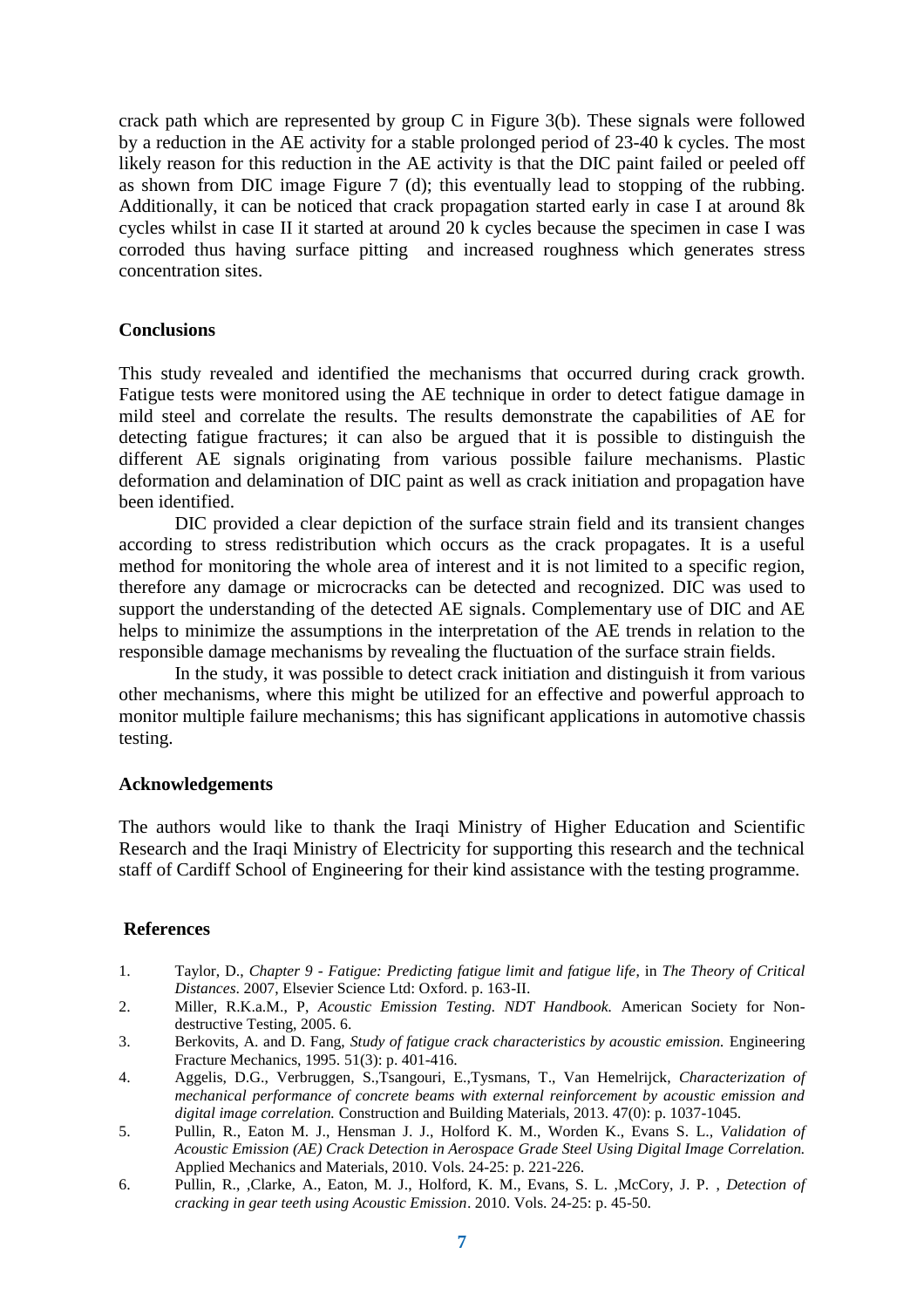crack path which are represented by group C in Figure 3(b). These signals were followed by a reduction in the AE activity for a stable prolonged period of 23-40 k cycles. The most likely reason for this reduction in the AE activity is that the DIC paint failed or peeled off as shown from DIC image Figure 7 (d); this eventually lead to stopping of the rubbing. Additionally, it can be noticed that crack propagation started early in case I at around 8k cycles whilst in case II it started at around 20 k cycles because the specimen in case I was corroded thus having surface pitting and increased roughness which generates stress concentration sites.

## **Conclusions**

This study revealed and identified the mechanisms that occurred during crack growth. Fatigue tests were monitored using the AE technique in order to detect fatigue damage in mild steel and correlate the results. The results demonstrate the capabilities of AE for detecting fatigue fractures; it can also be argued that it is possible to distinguish the different AE signals originating from various possible failure mechanisms. Plastic deformation and delamination of DIC paint as well as crack initiation and propagation have been identified.

DIC provided a clear depiction of the surface strain field and its transient changes according to stress redistribution which occurs as the crack propagates. It is a useful method for monitoring the whole area of interest and it is not limited to a specific region, therefore any damage or microcracks can be detected and recognized. DIC was used to support the understanding of the detected AE signals. Complementary use of DIC and AE helps to minimize the assumptions in the interpretation of the AE trends in relation to the responsible damage mechanisms by revealing the fluctuation of the surface strain fields.

In the study, it was possible to detect crack initiation and distinguish it from various other mechanisms, where this might be utilized for an effective and powerful approach to monitor multiple failure mechanisms; this has significant applications in automotive chassis testing.

### **Acknowledgements**

The authors would like to thank the Iraqi Ministry of Higher Education and Scientific Research and the Iraqi Ministry of Electricity for supporting this research and the technical staff of Cardiff School of Engineering for their kind assistance with the testing programme.

### **References**

- <span id="page-6-0"></span>1. Taylor, D., *Chapter 9 - Fatigue: Predicting fatigue limit and fatigue life*, in *The Theory of Critical Distances*. 2007, Elsevier Science Ltd: Oxford. p. 163-II.
- <span id="page-6-1"></span>2. Miller, R.K.a.M., P, *Acoustic Emission Testing. NDT Handbook.* American Society for Nondestructive Testing, 2005. 6.
- <span id="page-6-2"></span>3. Berkovits, A. and D. Fang, *Study of fatigue crack characteristics by acoustic emission.* Engineering Fracture Mechanics, 1995. 51(3): p. 401-416.
- <span id="page-6-3"></span>4. Aggelis, D.G., Verbruggen, S.,Tsangouri, E.,Tysmans, T., Van Hemelrijck, *Characterization of mechanical performance of concrete beams with external reinforcement by acoustic emission and digital image correlation.* Construction and Building Materials, 2013. 47(0): p. 1037-1045.
- <span id="page-6-4"></span>5. Pullin, R., Eaton M. J., Hensman J. J., Holford K. M., Worden K., Evans S. L.*, Validation of Acoustic Emission (AE) Crack Detection in Aerospace Grade Steel Using Digital Image Correlation.* Applied Mechanics and Materials, 2010. Vols. 24-25: p. 221-226.
- <span id="page-6-5"></span>6. Pullin, R., ,Clarke, A., Eaton, M. J., Holford, K. M., Evans, S. L. ,McCory, J. P. , *Detection of cracking in gear teeth using Acoustic Emission*. 2010. Vols. 24-25: p. 45-50.